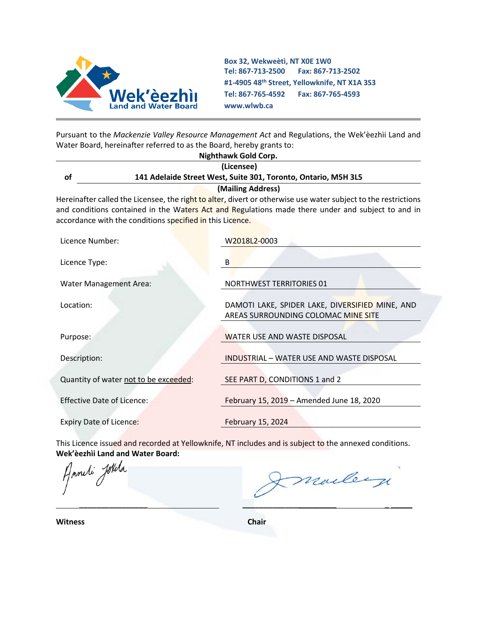

**Box 32, Wekweètì, NT X0E 1W0 Tel: 867-713-2500 Fax: 867-713-2502 #1-4905 48th Street, Yellowknife, NT X1A 3S3 Tel: 867-765-4592 Fax: 867-765-4593 www.wlwb.ca**

Pursuant to the *Mackenzie Valley Resource Management Act* and Regulations, the Wek'èezhìi Land and Water Board, hereinafter referred to as the Board, hereby grants to:

|                                                           | Nighthawk Gold Corp.                                                                                                                                                                                                |
|-----------------------------------------------------------|---------------------------------------------------------------------------------------------------------------------------------------------------------------------------------------------------------------------|
|                                                           | (Licensee)                                                                                                                                                                                                          |
| of                                                        | 141 Adelaide Street West, Suite 301, Toronto, Ontario, M5H 3L5                                                                                                                                                      |
|                                                           | (Mailing Address)                                                                                                                                                                                                   |
| accordance with the conditions specified in this Licence. | Hereinafter called the Licensee, the right to alter, divert or otherwise use water subject to the restrictions<br>and conditions contained in the Waters Act and Regulations made there under and subject to and in |
| Licence Number:                                           | W2018L2-0003                                                                                                                                                                                                        |
| Licence Type:                                             | B                                                                                                                                                                                                                   |
| <b>Water Management Area:</b>                             | <b>NORTHWEST TERRITORIES 01</b>                                                                                                                                                                                     |
| Location:                                                 | DAMOTI LAKE, SPIDER LAKE, DIVERSIFIED MINE, AND<br>AREAS SURROUNDING COLOMAC MINE SITE                                                                                                                              |
| Purpose:                                                  | WATER USE AND WASTE DISPOSAL                                                                                                                                                                                        |
| Description:                                              | INDUSTRIAL - WATER USE AND WASTE DISPOSAL                                                                                                                                                                           |
| Quantity of water not to be exceeded:                     | SEE PART D, CONDITIONS 1 and 2                                                                                                                                                                                      |
| <b>Effective Date of Licence:</b>                         | February 15, 2019 - Amended June 18, 2020                                                                                                                                                                           |
|                                                           |                                                                                                                                                                                                                     |

Expiry Date of Licence: February 15, 2024

This Licence issued and recorded at Yellowknife, NT includes and is subject to the annexed conditions.

**Wek'èezhìi Land and Water Board:**

marley  **\_\_\_\_\_\_\_\_\_\_\_\_\_\_\_\_ \_\_\_\_\_\_\_\_\_\_\_\_\_\_\_\_\_\_\_\_\_\_ \_ \_\_\_\_\_**

**Witness Chair**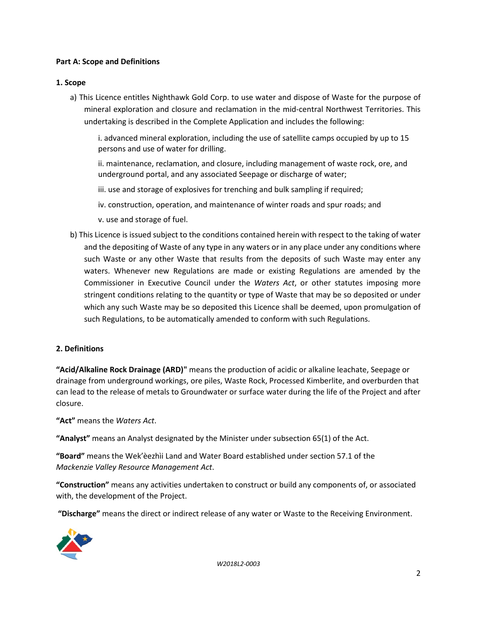## **Part A: Scope and Definitions**

### **1. Scope**

a) This Licence entitles Nighthawk Gold Corp. to use water and dispose of Waste for the purpose of mineral exploration and closure and reclamation in the mid-central Northwest Territories. This undertaking is described in the Complete Application and includes the following:

i. advanced mineral exploration, including the use of satellite camps occupied by up to 15 persons and use of water for drilling.

ii. maintenance, reclamation, and closure, including management of waste rock, ore, and underground portal, and any associated Seepage or discharge of water;

iii. use and storage of explosives for trenching and bulk sampling if required;

iv. construction, operation, and maintenance of winter roads and spur roads; and

- v. use and storage of fuel.
- b) This Licence is issued subject to the conditions contained herein with respect to the taking of water and the depositing of Waste of any type in any waters or in any place under any conditions where such Waste or any other Waste that results from the deposits of such Waste may enter any waters. Whenever new Regulations are made or existing Regulations are amended by the Commissioner in Executive Council under the *Waters Act*, or other statutes imposing more stringent conditions relating to the quantity or type of Waste that may be so deposited or under which any such Waste may be so deposited this Licence shall be deemed, upon promulgation of such Regulations, to be automatically amended to conform with such Regulations.

## **2. Definitions**

**"Acid/Alkaline Rock Drainage (ARD)"** means the production of acidic or alkaline leachate, Seepage or drainage from underground workings, ore piles, Waste Rock, Processed Kimberlite, and overburden that can lead to the release of metals to Groundwater or surface water during the life of the Project and after closure.

**"Act"** means the *Waters Act*.

**"Analyst"** means an Analyst designated by the Minister under subsection 65(1) of the Act.

**"Board"** means the Wek'èezhìi Land and Water Board established under section 57.1 of the *Mackenzie Valley Resource Management Act*.

**"Construction"** means any activities undertaken to construct or build any components of, or associated with, the development of the Project.

**"Discharge"** means the direct or indirect release of any water or Waste to the Receiving Environment.

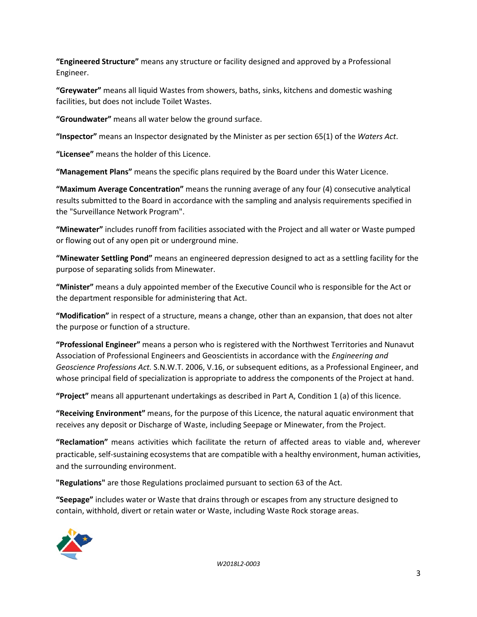**"Engineered Structure"** means any structure or facility designed and approved by a Professional Engineer.

**"Greywater"** means all liquid Wastes from showers, baths, sinks, kitchens and domestic washing facilities, but does not include Toilet Wastes.

**"Groundwater"** means all water below the ground surface.

**"Inspector"** means an Inspector designated by the Minister as per section 65(1) of the *Waters Act*.

**"Licensee"** means the holder of this Licence.

**"Management Plans"** means the specific plans required by the Board under this Water Licence.

**"Maximum Average Concentration"** means the running average of any four (4) consecutive analytical results submitted to the Board in accordance with the sampling and analysis requirements specified in the "Surveillance Network Program".

**"Minewater"** includes runoff from facilities associated with the Project and all water or Waste pumped or flowing out of any open pit or underground mine.

**"Minewater Settling Pond"** means an engineered depression designed to act as a settling facility for the purpose of separating solids from Minewater.

**"Minister"** means a duly appointed member of the Executive Council who is responsible for the Act or the department responsible for administering that Act.

**"Modification"** in respect of a structure, means a change, other than an expansion, that does not alter the purpose or function of a structure.

**"Professional Engineer"** means a person who is registered with the Northwest Territories and Nunavut Association of Professional Engineers and Geoscientists in accordance with the *Engineering and Geoscience Professions Act.* S.N.W.T. 2006, V.16, or subsequent editions, as a Professional Engineer, and whose principal field of specialization is appropriate to address the components of the Project at hand.

**"Project"** means all appurtenant undertakings as described in Part A, Condition 1 (a) of this licence.

**"Receiving Environment"** means, for the purpose of this Licence, the natural aquatic environment that receives any deposit or Discharge of Waste, including Seepage or Minewater, from the Project.

**"Reclamation"** means activities which facilitate the return of affected areas to viable and, wherever practicable, self-sustaining ecosystems that are compatible with a healthy environment, human activities, and the surrounding environment.

**"Regulations"** are those Regulations proclaimed pursuant to section 63 of the Act.

**"Seepage"** includes water or Waste that drains through or escapes from any structure designed to contain, withhold, divert or retain water or Waste, including Waste Rock storage areas.



*W2018L2-0003*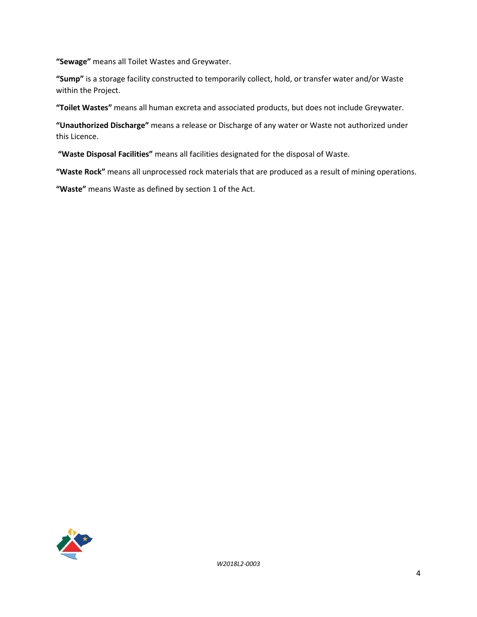**"Sewage"** means all Toilet Wastes and Greywater.

**"Sump"** is a storage facility constructed to temporarily collect, hold, or transfer water and/or Waste within the Project.

**"Toilet Wastes"** means all human excreta and associated products, but does not include Greywater.

**"Unauthorized Discharge"** means a release or Discharge of any water or Waste not authorized under this Licence.

**"Waste Disposal Facilities"** means all facilities designated for the disposal of Waste.

**"Waste Rock"** means all unprocessed rock materials that are produced as a result of mining operations.

**"Waste"** means Waste as defined by section 1 of the Act.

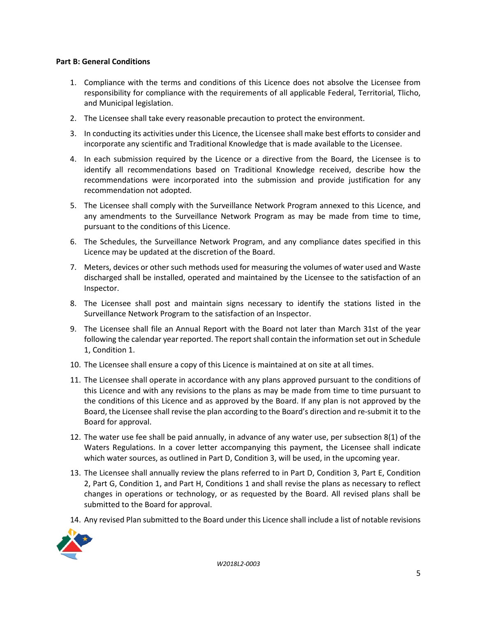## **Part B: General Conditions**

- 1. Compliance with the terms and conditions of this Licence does not absolve the Licensee from responsibility for compliance with the requirements of all applicable Federal, Territorial, Tlicho, and Municipal legislation.
- 2. The Licensee shall take every reasonable precaution to protect the environment.
- 3. In conducting its activities under this Licence, the Licensee shall make best efforts to consider and incorporate any scientific and Traditional Knowledge that is made available to the Licensee.
- 4. In each submission required by the Licence or a directive from the Board, the Licensee is to identify all recommendations based on Traditional Knowledge received, describe how the recommendations were incorporated into the submission and provide justification for any recommendation not adopted.
- 5. The Licensee shall comply with the Surveillance Network Program annexed to this Licence, and any amendments to the Surveillance Network Program as may be made from time to time, pursuant to the conditions of this Licence.
- 6. The Schedules, the Surveillance Network Program, and any compliance dates specified in this Licence may be updated at the discretion of the Board.
- 7. Meters, devices or other such methods used for measuring the volumes of water used and Waste discharged shall be installed, operated and maintained by the Licensee to the satisfaction of an Inspector.
- 8. The Licensee shall post and maintain signs necessary to identify the stations listed in the Surveillance Network Program to the satisfaction of an Inspector.
- 9. The Licensee shall file an Annual Report with the Board not later than March 31st of the year following the calendar year reported. The report shall contain the information set out in Schedule 1, Condition 1.
- 10. The Licensee shall ensure a copy of this Licence is maintained at on site at all times.
- 11. The Licensee shall operate in accordance with any plans approved pursuant to the conditions of this Licence and with any revisions to the plans as may be made from time to time pursuant to the conditions of this Licence and as approved by the Board. If any plan is not approved by the Board, the Licensee shall revise the plan according to the Board's direction and re-submit it to the Board for approval.
- 12. The water use fee shall be paid annually, in advance of any water use, per subsection 8(1) of the Waters Regulations. In a cover letter accompanying this payment, the Licensee shall indicate which water sources, as outlined in Part D, Condition 3, will be used, in the upcoming year.
- 13. The Licensee shall annually review the plans referred to in Part D, Condition 3, Part E, Condition 2, Part G, Condition 1, and Part H, Conditions 1 and shall revise the plans as necessary to reflect changes in operations or technology, or as requested by the Board. All revised plans shall be submitted to the Board for approval.
- 14. Any revised Plan submitted to the Board under this Licence shall include a list of notable revisions

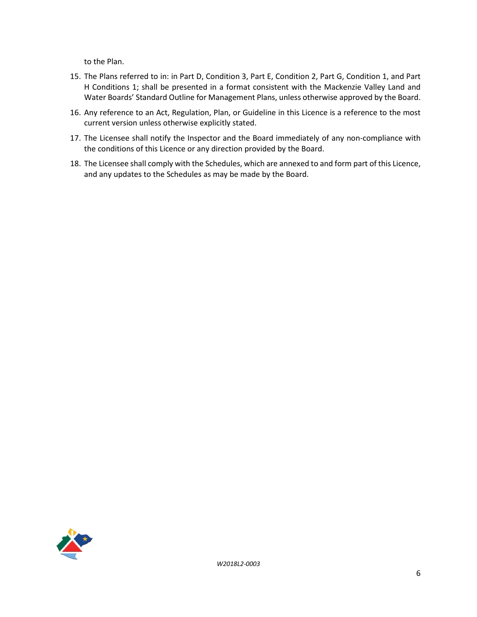to the Plan.

- 15. The Plans referred to in: in Part D, Condition 3, Part E, Condition 2, Part G, Condition 1, and Part H Conditions 1; shall be presented in a format consistent with the Mackenzie Valley Land and Water Boards' Standard Outline for Management Plans, unless otherwise approved by the Board.
- 16. Any reference to an Act, Regulation, Plan, or Guideline in this Licence is a reference to the most current version unless otherwise explicitly stated.
- 17. The Licensee shall notify the Inspector and the Board immediately of any non-compliance with the conditions of this Licence or any direction provided by the Board.
- 18. The Licensee shall comply with the Schedules, which are annexed to and form part of this Licence, and any updates to the Schedules as may be made by the Board.

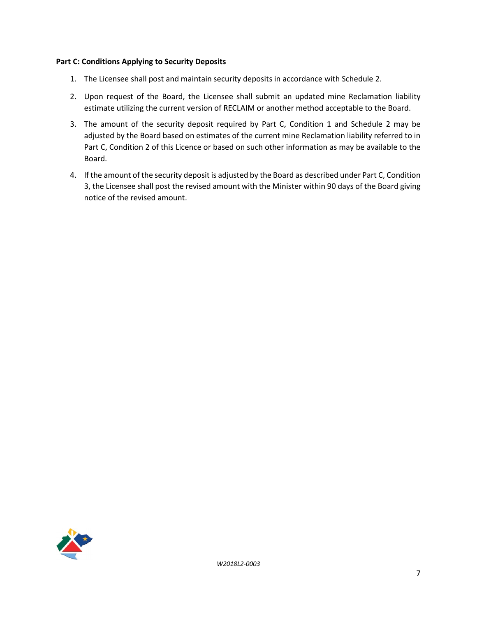#### **Part C: Conditions Applying to Security Deposits**

- 1. The Licensee shall post and maintain security deposits in accordance with Schedule 2.
- 2. Upon request of the Board, the Licensee shall submit an updated mine Reclamation liability estimate utilizing the current version of RECLAIM or another method acceptable to the Board.
- 3. The amount of the security deposit required by Part C, Condition 1 and Schedule 2 may be adjusted by the Board based on estimates of the current mine Reclamation liability referred to in Part C, Condition 2 of this Licence or based on such other information as may be available to the Board.
- 4. If the amount of the security deposit is adjusted by the Board as described under Part C, Condition 3, the Licensee shall post the revised amount with the Minister within 90 days of the Board giving notice of the revised amount.

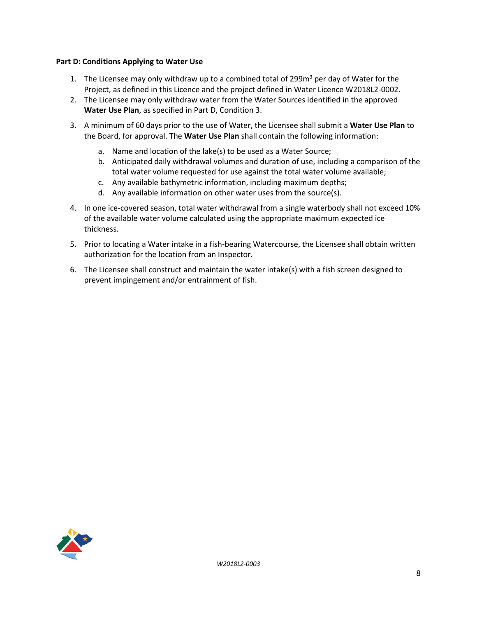#### **Part D: Conditions Applying to Water Use**

- 1. The Licensee may only withdraw up to a combined total of 299 $m<sup>3</sup>$  per day of Water for the Project, as defined in this Licence and the project defined in Water Licence W2018L2-0002.
- 2. The Licensee may only withdraw water from the Water Sources identified in the approved **Water Use Plan**, as specified in Part D, Condition 3.
- 3. A minimum of 60 days prior to the use of Water, the Licensee shall submit a **Water Use Plan** to the Board, for approval. The **Water Use Plan** shall contain the following information:
	- a. Name and location of the lake(s) to be used as a Water Source;
	- b. Anticipated daily withdrawal volumes and duration of use, including a comparison of the total water volume requested for use against the total water volume available;
	- c. Any available bathymetric information, including maximum depths;
	- d. Any available information on other water uses from the source(s).
- 4. In one ice-covered season, total water withdrawal from a single waterbody shall not exceed 10% of the available water volume calculated using the appropriate maximum expected ice thickness.
- 5. Prior to locating a Water intake in a fish-bearing Watercourse, the Licensee shall obtain written authorization for the location from an Inspector.
- 6. The Licensee shall construct and maintain the water intake(s) with a fish screen designed to prevent impingement and/or entrainment of fish.

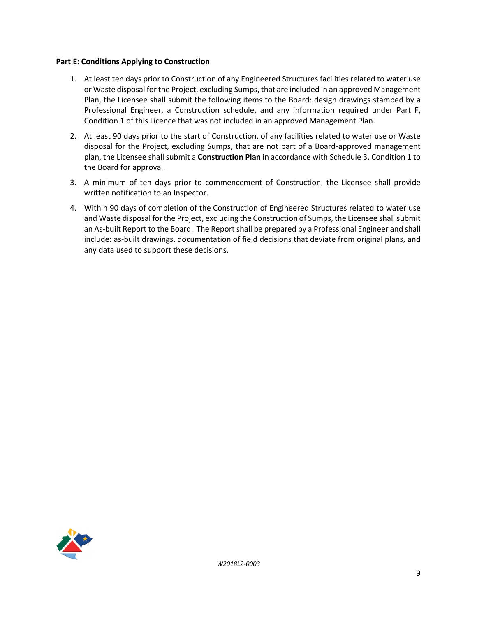#### **Part E: Conditions Applying to Construction**

- 1. At least ten days prior to Construction of any Engineered Structures facilities related to water use or Waste disposal for the Project, excluding Sumps, that are included in an approved Management Plan, the Licensee shall submit the following items to the Board: design drawings stamped by a Professional Engineer, a Construction schedule, and any information required under Part F, Condition 1 of this Licence that was not included in an approved Management Plan.
- 2. At least 90 days prior to the start of Construction, of any facilities related to water use or Waste disposal for the Project, excluding Sumps, that are not part of a Board-approved management plan, the Licensee shall submit a **Construction Plan** in accordance with Schedule 3, Condition 1 to the Board for approval.
- 3. A minimum of ten days prior to commencement of Construction, the Licensee shall provide written notification to an Inspector.
- 4. Within 90 days of completion of the Construction of Engineered Structures related to water use and Waste disposal for the Project, excluding the Construction of Sumps, the Licensee shall submit an As-built Report to the Board. The Report shall be prepared by a Professional Engineer and shall include: as-built drawings, documentation of field decisions that deviate from original plans, and any data used to support these decisions.

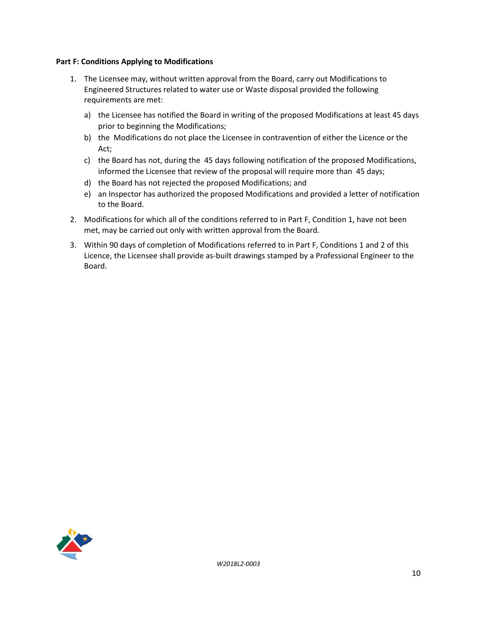#### **Part F: Conditions Applying to Modifications**

- 1. The Licensee may, without written approval from the Board, carry out Modifications to Engineered Structures related to water use or Waste disposal provided the following requirements are met:
	- a) the Licensee has notified the Board in writing of the proposed Modifications at least 45 days prior to beginning the Modifications;
	- b) the Modifications do not place the Licensee in contravention of either the Licence or the Act;
	- c) the Board has not, during the 45 days following notification of the proposed Modifications, informed the Licensee that review of the proposal will require more than 45 days;
	- d) the Board has not rejected the proposed Modifications; and
	- e) an Inspector has authorized the proposed Modifications and provided a letter of notification to the Board.
- 2. Modifications for which all of the conditions referred to in Part F, Condition 1, have not been met, may be carried out only with written approval from the Board.
- 3. Within 90 days of completion of Modifications referred to in Part F, Conditions 1 and 2 of this Licence, the Licensee shall provide as-built drawings stamped by a Professional Engineer to the Board.

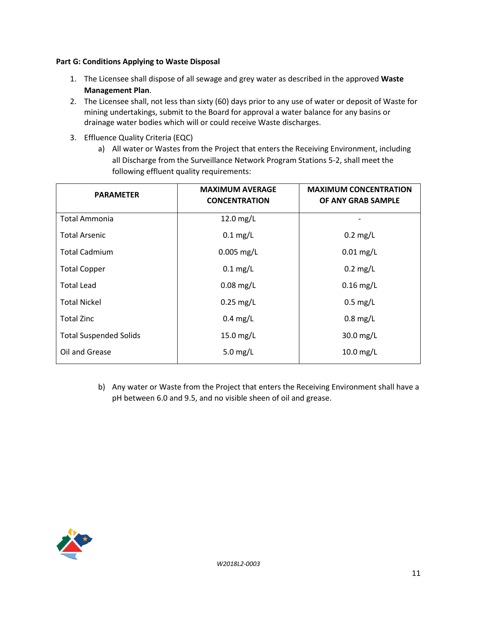## **Part G: Conditions Applying to Waste Disposal**

- 1. The Licensee shall dispose of all sewage and grey water as described in the approved **Waste Management Plan**.
- 2. The Licensee shall, not less than sixty (60) days prior to any use of water or deposit of Waste for mining undertakings, submit to the Board for approval a water balance for any basins or drainage water bodies which will or could receive Waste discharges.
- 3. Effluence Quality Criteria (EQC)
	- a) All water or Wastes from the Project that enters the Receiving Environment, including all Discharge from the Surveillance Network Program Stations 5-2, shall meet the following effluent quality requirements:

| <b>PARAMETER</b>              | <b>MAXIMUM AVERAGE</b><br><b>CONCENTRATION</b> | <b>MAXIMUM CONCENTRATION</b><br>OF ANY GRAB SAMPLE |
|-------------------------------|------------------------------------------------|----------------------------------------------------|
| <b>Total Ammonia</b>          | $12.0$ mg/L                                    |                                                    |
| <b>Total Arsenic</b>          | $0.1$ mg/L                                     | $0.2$ mg/L                                         |
| <b>Total Cadmium</b>          | $0.005$ mg/L                                   | $0.01$ mg/L                                        |
| <b>Total Copper</b>           | $0.1$ mg/L                                     | $0.2$ mg/L                                         |
| <b>Total Lead</b>             | $0.08$ mg/L                                    | $0.16$ mg/L                                        |
| <b>Total Nickel</b>           | $0.25$ mg/L                                    | $0.5$ mg/L                                         |
| <b>Total Zinc</b>             | $0.4$ mg/L                                     | $0.8$ mg/L                                         |
| <b>Total Suspended Solids</b> | 15.0 mg/L                                      | 30.0 mg/L                                          |
| Oil and Grease                | 5.0 $mg/L$                                     | $10.0$ mg/L                                        |

b) Any water or Waste from the Project that enters the Receiving Environment shall have a pH between 6.0 and 9.5, and no visible sheen of oil and grease.

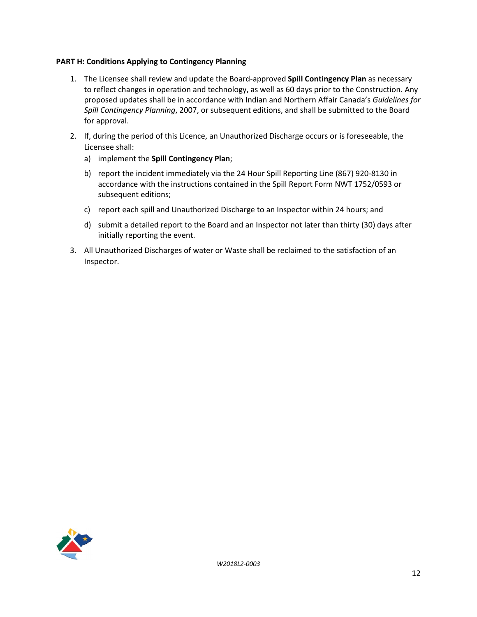### **PART H: Conditions Applying to Contingency Planning**

- 1. The Licensee shall review and update the Board-approved **Spill Contingency Plan** as necessary to reflect changes in operation and technology, as well as 60 days prior to the Construction. Any proposed updates shall be in accordance with Indian and Northern Affair Canada's *Guidelines for Spill Contingency Planning*, 2007, or subsequent editions, and shall be submitted to the Board for approval.
- 2. If, during the period of this Licence, an Unauthorized Discharge occurs or is foreseeable, the Licensee shall:
	- a) implement the **Spill Contingency Plan**;
	- b) report the incident immediately via the 24 Hour Spill Reporting Line (867) 920-8130 in accordance with the instructions contained in the Spill Report Form NWT 1752/0593 or subsequent editions;
	- c) report each spill and Unauthorized Discharge to an Inspector within 24 hours; and
	- d) submit a detailed report to the Board and an Inspector not later than thirty (30) days after initially reporting the event.
- 3. All Unauthorized Discharges of water or Waste shall be reclaimed to the satisfaction of an Inspector.

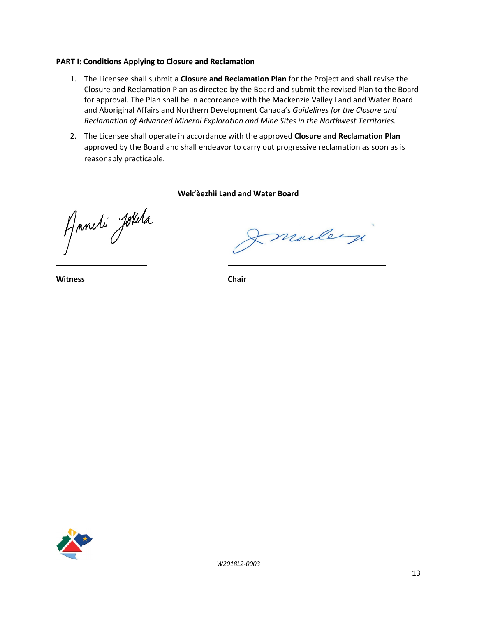#### **PART I: Conditions Applying to Closure and Reclamation**

- 1. The Licensee shall submit a **Closure and Reclamation Plan** for the Project and shall revise the Closure and Reclamation Plan as directed by the Board and submit the revised Plan to the Board for approval. The Plan shall be in accordance with the Mackenzie Valley Land and Water Board and Aboriginal Affairs and Northern Development Canada's *Guidelines for the Closure and Reclamation of Advanced Mineral Exploration and Mine Sites in the Northwest Territories.*
- 2. The Licensee shall operate in accordance with the approved **Closure and Reclamation Plan** approved by the Board and shall endeavor to carry out progressive reclamation as soon as is reasonably practicable.

#### **Wek'èezhìi Land and Water Board**

Anneti Jotela

marley

**Witness Chair**

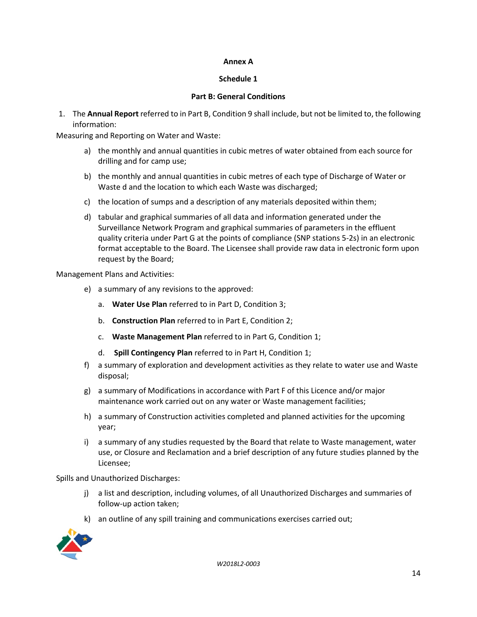## **Annex A**

## **Schedule 1**

## **Part B: General Conditions**

1. The **Annual Report** referred to in Part B, Condition 9 shall include, but not be limited to, the following information:

Measuring and Reporting on Water and Waste:

- a) the monthly and annual quantities in cubic metres of water obtained from each source for drilling and for camp use;
- b) the monthly and annual quantities in cubic metres of each type of Discharge of Water or Waste d and the location to which each Waste was discharged;
- c) the location of sumps and a description of any materials deposited within them;
- d) tabular and graphical summaries of all data and information generated under the Surveillance Network Program and graphical summaries of parameters in the effluent quality criteria under Part G at the points of compliance (SNP stations 5-2s) in an electronic format acceptable to the Board. The Licensee shall provide raw data in electronic form upon request by the Board;

Management Plans and Activities:

- e) a summary of any revisions to the approved:
	- a. **Water Use Plan** referred to in Part D, Condition 3;
	- b. **Construction Plan** referred to in Part E, Condition 2;
	- c. **Waste Management Plan** referred to in Part G, Condition 1;
	- d. **Spill Contingency Plan** referred to in Part H, Condition 1;
- f) a summary of exploration and development activities as they relate to water use and Waste disposal;
- g) a summary of Modifications in accordance with Part F of this Licence and/or major maintenance work carried out on any water or Waste management facilities;
- h) a summary of Construction activities completed and planned activities for the upcoming year;
- i) a summary of any studies requested by the Board that relate to Waste management, water use, or Closure and Reclamation and a brief description of any future studies planned by the Licensee;

Spills and Unauthorized Discharges:

- j) a list and description, including volumes, of all Unauthorized Discharges and summaries of follow-up action taken;
- k) an outline of any spill training and communications exercises carried out;

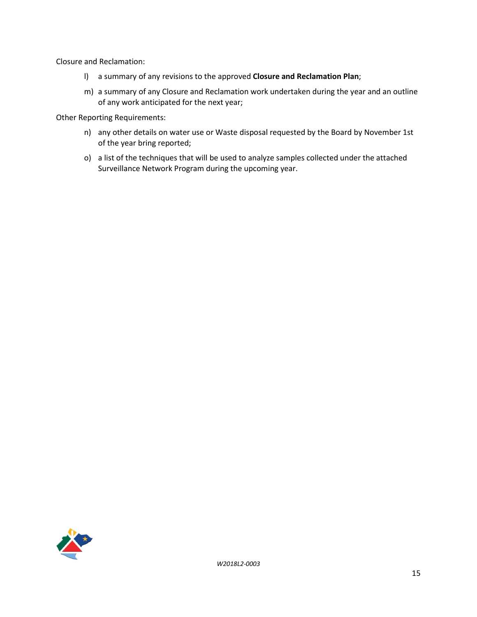Closure and Reclamation:

- l) a summary of any revisions to the approved **Closure and Reclamation Plan**;
- m) a summary of any Closure and Reclamation work undertaken during the year and an outline of any work anticipated for the next year;

Other Reporting Requirements:

- n) any other details on water use or Waste disposal requested by the Board by November 1st of the year bring reported;
- o) a list of the techniques that will be used to analyze samples collected under the attached Surveillance Network Program during the upcoming year.

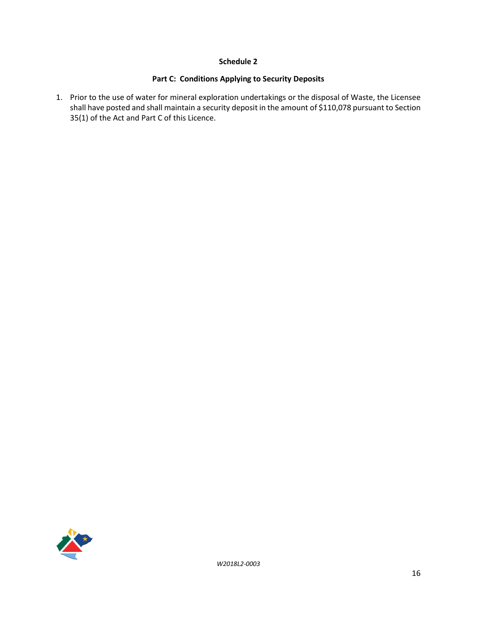## **Schedule 2**

## **Part C: Conditions Applying to Security Deposits**

1. Prior to the use of water for mineral exploration undertakings or the disposal of Waste, the Licensee shall have posted and shall maintain a security deposit in the amount of \$110,078 pursuant to Section 35(1) of the Act and Part C of this Licence.

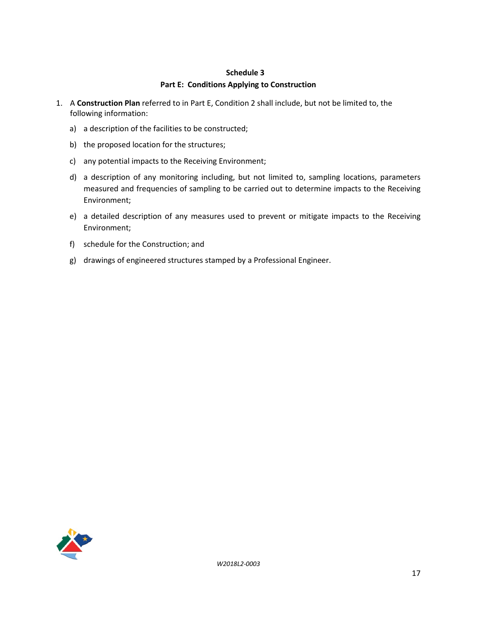#### **Schedule 3**

### **Part E: Conditions Applying to Construction**

- 1. A **Construction Plan** referred to in Part E, Condition 2 shall include, but not be limited to, the following information:
	- a) a description of the facilities to be constructed;
	- b) the proposed location for the structures;
	- c) any potential impacts to the Receiving Environment;
	- d) a description of any monitoring including, but not limited to, sampling locations, parameters measured and frequencies of sampling to be carried out to determine impacts to the Receiving Environment;
	- e) a detailed description of any measures used to prevent or mitigate impacts to the Receiving Environment;
	- f) schedule for the Construction; and
	- g) drawings of engineered structures stamped by a Professional Engineer.

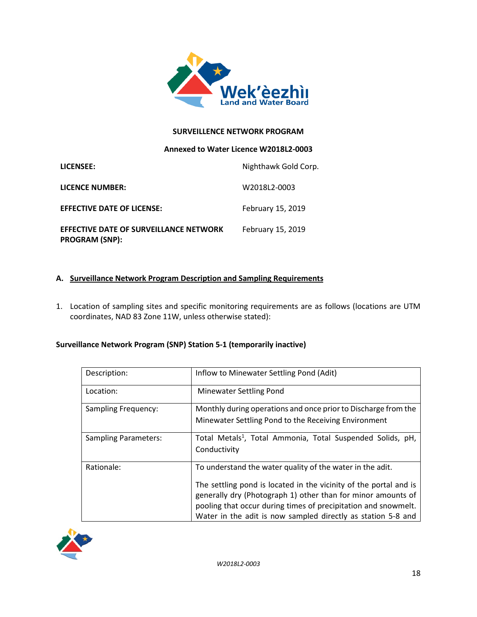

### **SURVEILLENCE NETWORK PROGRAM**

#### **Annexed to Water Licence W2018L2-0003**

| LICENSEE:                                                              | Nighthawk Gold Corp. |
|------------------------------------------------------------------------|----------------------|
| <b>LICENCE NUMBER:</b>                                                 | W2018L2-0003         |
| <b>EFFECTIVE DATE OF LICENSE:</b>                                      | February 15, 2019    |
| <b>EFFECTIVE DATE OF SURVEILLANCE NETWORK</b><br><b>PROGRAM (SNP):</b> | February 15, 2019    |

## **A. Surveillance Network Program Description and Sampling Requirements**

1. Location of sampling sites and specific monitoring requirements are as follows (locations are UTM coordinates, NAD 83 Zone 11W, unless otherwise stated):

#### **Surveillance Network Program (SNP) Station 5-1 (temporarily inactive)**

| Description:                | Inflow to Minewater Settling Pond (Adit)                                                                                                                                                                                                                                                                                         |
|-----------------------------|----------------------------------------------------------------------------------------------------------------------------------------------------------------------------------------------------------------------------------------------------------------------------------------------------------------------------------|
| Location:                   | <b>Minewater Settling Pond</b>                                                                                                                                                                                                                                                                                                   |
| Sampling Frequency:         | Monthly during operations and once prior to Discharge from the<br>Minewater Settling Pond to the Receiving Environment                                                                                                                                                                                                           |
| <b>Sampling Parameters:</b> | Total Metals <sup>1</sup> , Total Ammonia, Total Suspended Solids, pH,<br>Conductivity                                                                                                                                                                                                                                           |
| Rationale:                  | To understand the water quality of the water in the adit.<br>The settling pond is located in the vicinity of the portal and is<br>generally dry (Photograph 1) other than for minor amounts of<br>pooling that occur during times of precipitation and snowmelt.<br>Water in the adit is now sampled directly as station 5-8 and |

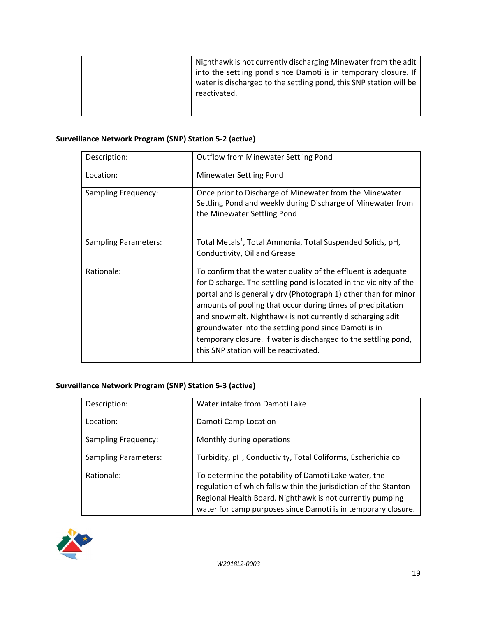| Nighthawk is not currently discharging Minewater from the adit     |
|--------------------------------------------------------------------|
| into the settling pond since Damoti is in temporary closure. If    |
| water is discharged to the settling pond, this SNP station will be |
| reactivated.                                                       |
|                                                                    |
|                                                                    |

# **Surveillance Network Program (SNP) Station 5-2 (active)**

| Description:               | <b>Outflow from Minewater Settling Pond</b>                                                                                                                                                                                                                                                                                                                                                                                                                                                             |
|----------------------------|---------------------------------------------------------------------------------------------------------------------------------------------------------------------------------------------------------------------------------------------------------------------------------------------------------------------------------------------------------------------------------------------------------------------------------------------------------------------------------------------------------|
| Location:                  | <b>Minewater Settling Pond</b>                                                                                                                                                                                                                                                                                                                                                                                                                                                                          |
| <b>Sampling Frequency:</b> | Once prior to Discharge of Minewater from the Minewater<br>Settling Pond and weekly during Discharge of Minewater from<br>the Minewater Settling Pond                                                                                                                                                                                                                                                                                                                                                   |
| Sampling Parameters:       | Total Metals <sup>1</sup> , Total Ammonia, Total Suspended Solids, pH,<br>Conductivity, Oil and Grease                                                                                                                                                                                                                                                                                                                                                                                                  |
|                            |                                                                                                                                                                                                                                                                                                                                                                                                                                                                                                         |
| Rationale:                 | To confirm that the water quality of the effluent is adequate<br>for Discharge. The settling pond is located in the vicinity of the<br>portal and is generally dry (Photograph 1) other than for minor<br>amounts of pooling that occur during times of precipitation<br>and snowmelt. Nighthawk is not currently discharging adit<br>groundwater into the settling pond since Damoti is in<br>temporary closure. If water is discharged to the settling pond,<br>this SNP station will be reactivated. |

## **Surveillance Network Program (SNP) Station 5-3 (active)**

| Description:                | Water intake from Damoti Lake                                                                                                                                                                                                                           |
|-----------------------------|---------------------------------------------------------------------------------------------------------------------------------------------------------------------------------------------------------------------------------------------------------|
| Location:                   | Damoti Camp Location                                                                                                                                                                                                                                    |
| <b>Sampling Frequency:</b>  | Monthly during operations                                                                                                                                                                                                                               |
| <b>Sampling Parameters:</b> | Turbidity, pH, Conductivity, Total Coliforms, Escherichia coli                                                                                                                                                                                          |
| Rationale:                  | To determine the potability of Damoti Lake water, the<br>regulation of which falls within the jurisdiction of the Stanton<br>Regional Health Board. Nighthawk is not currently pumping<br>water for camp purposes since Damoti is in temporary closure. |

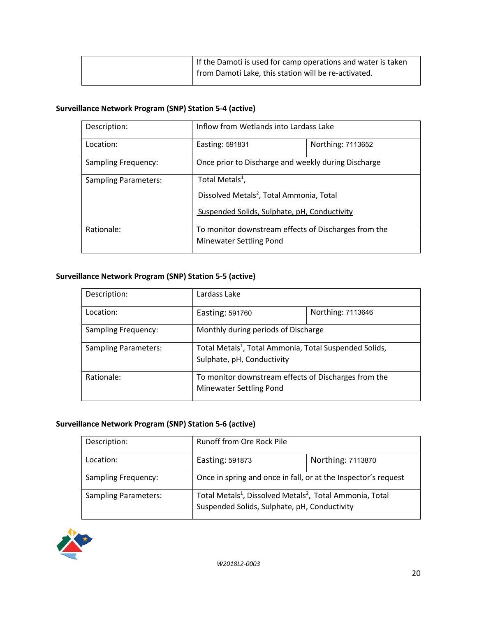| I If the Damoti is used for camp operations and water is taken |
|----------------------------------------------------------------|
| I from Damoti Lake, this station will be re-activated.         |

# **Surveillance Network Program (SNP) Station 5-4 (active)**

| Description:                | Inflow from Wetlands into Lardass Lake                                                                                              |                   |
|-----------------------------|-------------------------------------------------------------------------------------------------------------------------------------|-------------------|
| Location:                   | Easting: 591831                                                                                                                     | Northing: 7113652 |
| <b>Sampling Frequency:</b>  | Once prior to Discharge and weekly during Discharge                                                                                 |                   |
| <b>Sampling Parameters:</b> | Total Metals <sup>1</sup> ,<br>Dissolved Metals <sup>2</sup> , Total Ammonia, Total<br>Suspended Solids, Sulphate, pH, Conductivity |                   |
| Rationale:                  | To monitor downstream effects of Discharges from the<br><b>Minewater Settling Pond</b>                                              |                   |

## **Surveillance Network Program (SNP) Station 5-5 (active)**

| Description:                | Lardass Lake                                                                                     |                   |
|-----------------------------|--------------------------------------------------------------------------------------------------|-------------------|
| Location:                   | Easting: 591760                                                                                  | Northing: 7113646 |
| <b>Sampling Frequency:</b>  | Monthly during periods of Discharge                                                              |                   |
| <b>Sampling Parameters:</b> | Total Metals <sup>1</sup> , Total Ammonia, Total Suspended Solids,<br>Sulphate, pH, Conductivity |                   |
| Rationale:                  | To monitor downstream effects of Discharges from the<br><b>Minewater Settling Pond</b>           |                   |

## **Surveillance Network Program (SNP) Station 5-6 (active)**

| Description:                | <b>Runoff from Ore Rock Pile</b>                                                 |                   |
|-----------------------------|----------------------------------------------------------------------------------|-------------------|
| Location:                   | Easting: 591873                                                                  | Northing: 7113870 |
| <b>Sampling Frequency:</b>  | Once in spring and once in fall, or at the Inspector's request                   |                   |
| <b>Sampling Parameters:</b> | Total Metals <sup>1</sup> , Dissolved Metals <sup>2</sup> , Total Ammonia, Total |                   |
|                             | Suspended Solids, Sulphate, pH, Conductivity                                     |                   |

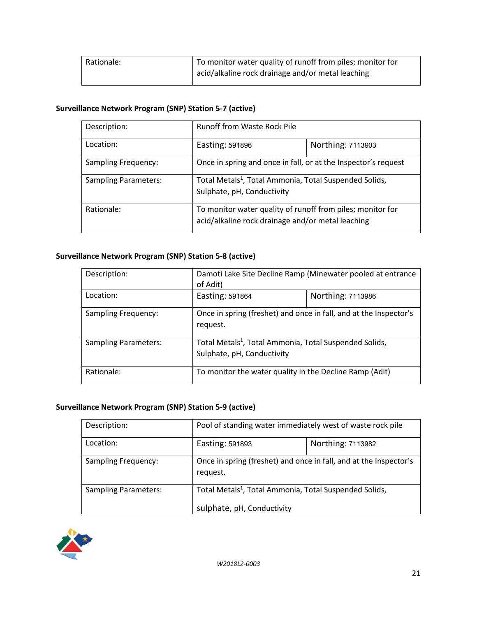| Rationale: | To monitor water quality of runoff from piles; monitor for |
|------------|------------------------------------------------------------|
|            | acid/alkaline rock drainage and/or metal leaching          |

# **Surveillance Network Program (SNP) Station 5-7 (active)**

| Description:                | <b>Runoff from Waste Rock Pile</b>                                                                              |                   |
|-----------------------------|-----------------------------------------------------------------------------------------------------------------|-------------------|
| Location:                   | Easting: 591896                                                                                                 | Northing: 7113903 |
| <b>Sampling Frequency:</b>  | Once in spring and once in fall, or at the Inspector's request                                                  |                   |
| <b>Sampling Parameters:</b> | Total Metals <sup>1</sup> , Total Ammonia, Total Suspended Solids,<br>Sulphate, pH, Conductivity                |                   |
| Rationale:                  | To monitor water quality of runoff from piles; monitor for<br>acid/alkaline rock drainage and/or metal leaching |                   |

## **Surveillance Network Program (SNP) Station 5-8 (active)**

| Description:                | Damoti Lake Site Decline Ramp (Minewater pooled at entrance<br>of Adit)                          |                   |
|-----------------------------|--------------------------------------------------------------------------------------------------|-------------------|
| Location:                   | Easting: 591864                                                                                  | Northing: 7113986 |
| <b>Sampling Frequency:</b>  | Once in spring (freshet) and once in fall, and at the Inspector's<br>request.                    |                   |
| <b>Sampling Parameters:</b> | Total Metals <sup>1</sup> , Total Ammonia, Total Suspended Solids,<br>Sulphate, pH, Conductivity |                   |
| Rationale:                  | To monitor the water quality in the Decline Ramp (Adit)                                          |                   |

## **Surveillance Network Program (SNP) Station 5-9 (active)**

| Description:                | Pool of standing water immediately west of waste rock pile                    |                   |
|-----------------------------|-------------------------------------------------------------------------------|-------------------|
| Location:                   | Easting: 591893                                                               | Northing: 7113982 |
| <b>Sampling Frequency:</b>  | Once in spring (freshet) and once in fall, and at the Inspector's<br>request. |                   |
| <b>Sampling Parameters:</b> | Total Metals <sup>1</sup> , Total Ammonia, Total Suspended Solids,            |                   |
|                             | sulphate, pH, Conductivity                                                    |                   |

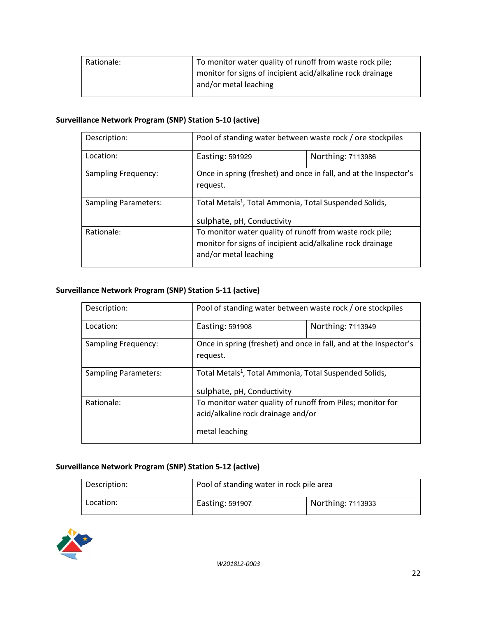| To monitor water quality of runoff from waste rock pile;   |
|------------------------------------------------------------|
| monitor for signs of incipient acid/alkaline rock drainage |
| and/or metal leaching                                      |
|                                                            |

## **Surveillance Network Program (SNP) Station 5-10 (active)**

| Description:                | Pool of standing water between waste rock / ore stockpiles                                                                                      |                   |
|-----------------------------|-------------------------------------------------------------------------------------------------------------------------------------------------|-------------------|
| Location:                   | Easting: 591929                                                                                                                                 | Northing: 7113986 |
| <b>Sampling Frequency:</b>  | Once in spring (freshet) and once in fall, and at the Inspector's<br>request.                                                                   |                   |
| <b>Sampling Parameters:</b> | Total Metals <sup>1</sup> , Total Ammonia, Total Suspended Solids,<br>sulphate, pH, Conductivity                                                |                   |
| Rationale:                  | To monitor water quality of runoff from waste rock pile;<br>monitor for signs of incipient acid/alkaline rock drainage<br>and/or metal leaching |                   |

## **Surveillance Network Program (SNP) Station 5-11 (active)**

| Description:                | Pool of standing water between waste rock / ore stockpiles                                                         |                   |
|-----------------------------|--------------------------------------------------------------------------------------------------------------------|-------------------|
| Location:                   | Easting: 591908                                                                                                    | Northing: 7113949 |
| <b>Sampling Frequency:</b>  | Once in spring (freshet) and once in fall, and at the Inspector's<br>request.                                      |                   |
| <b>Sampling Parameters:</b> | Total Metals <sup>1</sup> , Total Ammonia, Total Suspended Solids,<br>sulphate, pH, Conductivity                   |                   |
| Rationale:                  | To monitor water quality of runoff from Piles; monitor for<br>acid/alkaline rock drainage and/or<br>metal leaching |                   |

## **Surveillance Network Program (SNP) Station 5-12 (active)**

| Description: | Pool of standing water in rock pile area |                   |
|--------------|------------------------------------------|-------------------|
| Location:    | Easting: 591907                          | Northing: 7113933 |

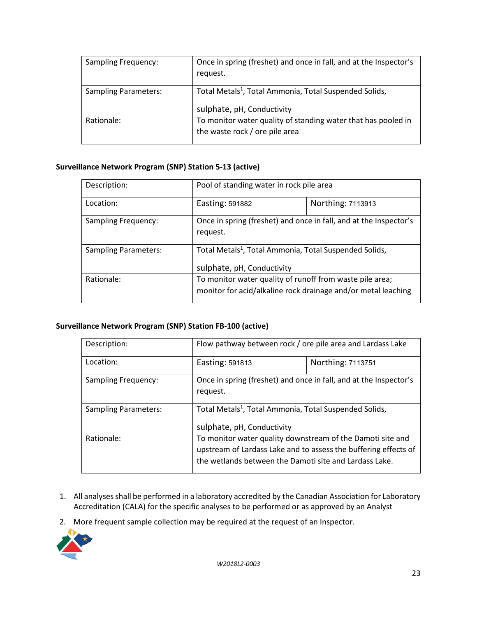| Sampling Frequency:         | Once in spring (freshet) and once in fall, and at the Inspector's<br>request.                    |
|-----------------------------|--------------------------------------------------------------------------------------------------|
| <b>Sampling Parameters:</b> | Total Metals <sup>1</sup> , Total Ammonia, Total Suspended Solids,<br>sulphate, pH, Conductivity |
| Rationale:                  | To monitor water quality of standing water that has pooled in<br>the waste rock / ore pile area  |

## **Surveillance Network Program (SNP) Station 5-13 (active)**

| Description:                | Pool of standing water in rock pile area                                                                                  |                   |
|-----------------------------|---------------------------------------------------------------------------------------------------------------------------|-------------------|
| Location:                   | Easting: 591882                                                                                                           | Northing: 7113913 |
| <b>Sampling Frequency:</b>  | Once in spring (freshet) and once in fall, and at the Inspector's<br>request.                                             |                   |
| <b>Sampling Parameters:</b> | Total Metals <sup>1</sup> , Total Ammonia, Total Suspended Solids,<br>sulphate, pH, Conductivity                          |                   |
| Rationale:                  | To monitor water quality of runoff from waste pile area;<br>monitor for acid/alkaline rock drainage and/or metal leaching |                   |

## **Surveillance Network Program (SNP) Station FB-100 (active)**

| Description:                | Flow pathway between rock / ore pile area and Lardass Lake                                                                                                                              |                   |
|-----------------------------|-----------------------------------------------------------------------------------------------------------------------------------------------------------------------------------------|-------------------|
| Location:                   | Easting: 591813                                                                                                                                                                         | Northing: 7113751 |
| <b>Sampling Frequency:</b>  | Once in spring (freshet) and once in fall, and at the Inspector's<br>request.                                                                                                           |                   |
| <b>Sampling Parameters:</b> | Total Metals <sup>1</sup> , Total Ammonia, Total Suspended Solids,<br>sulphate, pH, Conductivity                                                                                        |                   |
| Rationale:                  | To monitor water quality downstream of the Damoti site and<br>upstream of Lardass Lake and to assess the buffering effects of<br>the wetlands between the Damoti site and Lardass Lake. |                   |

- 1. All analyses shall be performed in a laboratory accredited by the Canadian Association for Laboratory Accreditation (CALA) for the specific analyses to be performed or as approved by an Analyst
- 2. More frequent sample collection may be required at the request of an Inspector.

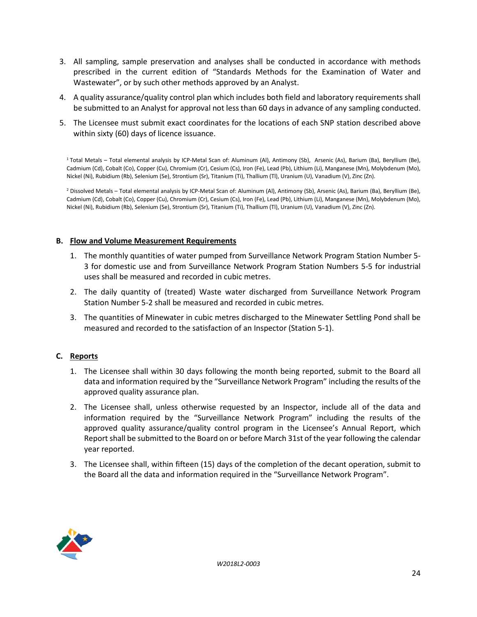- 3. All sampling, sample preservation and analyses shall be conducted in accordance with methods prescribed in the current edition of "Standards Methods for the Examination of Water and Wastewater", or by such other methods approved by an Analyst.
- 4. A quality assurance/quality control plan which includes both field and laboratory requirements shall be submitted to an Analyst for approval not less than 60 days in advance of any sampling conducted.
- 5. The Licensee must submit exact coordinates for the locations of each SNP station described above within sixty (60) days of licence issuance.

1 Total Metals – Total elemental analysis by ICP-Metal Scan of: Aluminum (Al), Antimony (Sb), Arsenic (As), Barium (Ba), Beryllium (Be), Cadmium (Cd), Cobalt (Co), Copper (Cu), Chromium (Cr), Cesium (Cs), Iron (Fe), Lead (Pb), Lithium (Li), Manganese (Mn), Molybdenum (Mo), Nickel (Ni), Rubidium (Rb), Selenium (Se), Strontium (Sr), Titanium (Ti), Thallium (Tl), Uranium (U), Vanadium (V), Zinc (Zn).

<sup>2</sup> Dissolved Metals – Total elemental analysis by ICP-Metal Scan of: Aluminum (Al), Antimony (Sb), Arsenic (As), Barium (Ba), Beryllium (Be), Cadmium (Cd), Cobalt (Co), Copper (Cu), Chromium (Cr), Cesium (Cs), Iron (Fe), Lead (Pb), Lithium (Li), Manganese (Mn), Molybdenum (Mo), Nickel (Ni), Rubidium (Rb), Selenium (Se), Strontium (Sr), Titanium (Ti), Thallium (Tl), Uranium (U), Vanadium (V), Zinc (Zn).

#### **B. Flow and Volume Measurement Requirements**

- 1. The monthly quantities of water pumped from Surveillance Network Program Station Number 5- 3 for domestic use and from Surveillance Network Program Station Numbers 5-5 for industrial uses shall be measured and recorded in cubic metres.
- 2. The daily quantity of (treated) Waste water discharged from Surveillance Network Program Station Number 5-2 shall be measured and recorded in cubic metres.
- 3. The quantities of Minewater in cubic metres discharged to the Minewater Settling Pond shall be measured and recorded to the satisfaction of an Inspector (Station 5-1).

#### **C. Reports**

- 1. The Licensee shall within 30 days following the month being reported, submit to the Board all data and information required by the "Surveillance Network Program" including the results of the approved quality assurance plan.
- 2. The Licensee shall, unless otherwise requested by an Inspector, include all of the data and information required by the "Surveillance Network Program" including the results of the approved quality assurance/quality control program in the Licensee's Annual Report, which Report shall be submitted to the Board on or before March 31st of the year following the calendar year reported.
- 3. The Licensee shall, within fifteen (15) days of the completion of the decant operation, submit to the Board all the data and information required in the "Surveillance Network Program".